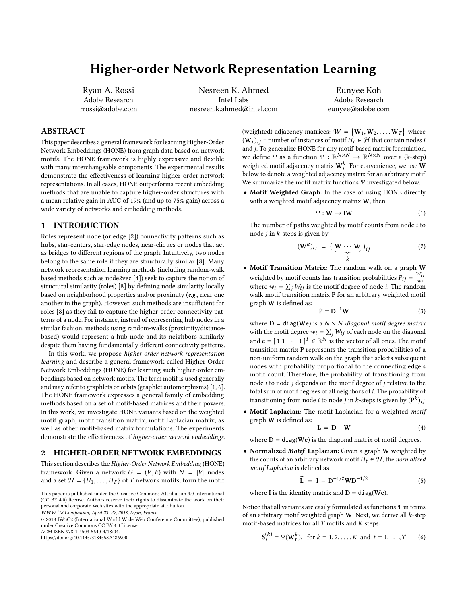# <span id="page-0-0"></span>Higher-order Network Representation Learning

Ryan A. Rossi Adobe Research rrossi@adobe.com

Nesreen K. Ahmed Intel Labs nesreen.k.ahmed@intel.com

Eunyee Koh Adobe Research eunyee@adobe.com

## ABSTRACT

This paper describes a general framework for learning Higher-Order Network Embeddings (HONE) from graph data based on network motifs. The HONE framework is highly expressive and flexible with many interchangeable components. The experimental results demonstrate the effectiveness of learning higher-order network representations. In all cases, HONE outperforms recent embedding methods that are unable to capture higher-order structures with a mean relative gain in AUC of 19% (and up to 75% gain) across a wide variety of networks and embedding methods.

### 1 INTRODUCTION

Roles represent node (or edge [\[2\]](#page-1-0)) connectivity patterns such as hubs, star-centers, star-edge nodes, near-cliques or nodes that act as bridges to different regions of the graph. Intuitively, two nodes belong to the same role if they are structurally similar [\[8\]](#page-1-1). Many network representation learning methods (including random-walk based methods such as node2vec [\[4\]](#page-1-2)) seek to capture the notion of structural similarity (roles) [\[8\]](#page-1-1) by defining node similarity locally based on neighborhood properties and/or proximity (e.g., near one another in the graph). However, such methods are insufficient for roles [\[8\]](#page-1-1) as they fail to capture the higher-order connectivity patterns of a node. For instance, instead of representing hub nodes in a similar fashion, methods using random-walks (proximity/distancebased) would represent a hub node and its neighbors similarly despite them having fundamentally different connectivity patterns.

In this work, we propose higher-order network representation learning and describe a general framework called Higher-Order Network Embeddings (HONE) for learning such higher-order embeddings based on network motifs. The term motif is used generally and may refer to graphlets or orbits (graphlet automorphisms) [\[1,](#page-1-3) [6\]](#page-1-4). The HONE framework expresses a general family of embedding methods based on a set of motif-based matrices and their powers. In this work, we investigate HONE variants based on the weighted motif graph, motif transition matrix, motif Laplacian matrix, as well as other motif-based matrix formulations. The experiments demonstrate the effectiveness of higher-order network embeddings.

#### 2 HIGHER-ORDER NETWORK EMBEDDINGS

This section describes the Higher-Order Network Embedding (HONE) framework. Given a network  $G = (V, E)$  with  $N = |V|$  nodes and a set  $\mathcal{H} = \{H_1, \ldots, H_T\}$  of T network motifs, form the motif

© 2018 IW3C2 (International World Wide Web Conference Committee), published under Creative Commons CC BY 4.0 License.

ACM ISBN 978-1-4503-5640-4/18/04.

<https://doi.org/10.1145/3184558.3186900>

(weighted) adjacency matrices:  $W = \{W_1, W_2, \ldots, W_T\}$  where  $(W_1)_{11}$  = number of instances of motif  $H_1 \in \mathcal{H}$  that contain nodes is  $(W_t)_{ij}$  = number of instances of motif  $H_t \in \mathcal{H}$  that contain nodes i and j. To generalize HONE for any motif-based matrix formulation, we define Ψ as a function  $\Psi : \mathbb{R}^{N \times N} \to \mathbb{R}^{N \times N}$  over a (k-step)<br>weighted motif ediacongy matrix  $W^k$ . For convenience, we use  $W$ weighted motif adjacency matrix  $\mathbf{W}_t^k$ . For convenience, we use  $\mathbf W$ below to denote a weighted adjacency matrix for an arbitrary motif. We summarize the motif matrix functions Ψ investigated below.

• Motif Weighted Graph: In the case of using HONE directly with a weighted motif adjacency matrix W, then

<span id="page-0-1"></span>
$$
\Psi: \mathbf{W} \to \mathbf{I}\mathbf{W} \tag{1}
$$

The number of paths weighted by motif counts from node i to node  $j$  in  $k$ -steps is given by

$$
(\mathbf{W}^{k})_{ij} = (\underbrace{\mathbf{W} \cdots \mathbf{W}}_{k})_{ij}
$$
 (2)

• Motif Transition Matrix: The random walk on a graph W weighted by motif counts has transition probabilities  $P_{ij} = \frac{W_{ij}}{W_i}$  $\overline{w_i}$ where  $w_i = \sum_j W_{ij}$  is the motif degree of node *i*. The random walk motif transition matrix P for an arbitrary weighted motif graph W is defined as:

<span id="page-0-2"></span>
$$
P = D^{-1}W
$$
 (3)

where  $D = diag(We)$  is a  $N \times N$  diagonal motif degree matrix with the motif degree  $w_i = \sum_j W_{ij}$  of each node on the diagonal and  $\mathbf{e} = [1 \ 1 \ \cdots \ 1]^T \in \mathbb{R}^N$  is the vector of all ones. The motif transition matrix P represents the transition probabilities of a non-uniform random walk on the graph that selects subsequent nodes with probability proportional to the connecting edge's motif count. Therefore, the probability of transitioning from node  $i$  to node  $j$  depends on the motif degree of  $j$  relative to the total sum of motif degrees of all neighbors of i. The probability of transitioning from node  $i$  to node  $j$  in  $k$ -steps is given by  $(\mathbf{P}^k)_{ij}$ .

• Motif Laplacian: The motif Laplacian for a weighted motif graph W is defined as:

<span id="page-0-3"></span>
$$
L = D - W \tag{4}
$$

where  $D = diag(We)$  is the diagonal matrix of motif degrees.

• Normalized Motif Laplacian: Given a graph W weighted by the counts of an arbitrary network motif  $H_t \in \mathcal{H}$ , the normalized motif Laplacian is defined as

<span id="page-0-4"></span>
$$
\widehat{L} = I - D^{-1/2}WD^{-1/2}
$$
 (5)

where I is the identity matrix and  $D = diag(We)$ .

Notice that all variants are easily formulated as functions  $\Psi$  in terms of an arbitrary motif weighted graph  $W$ . Next, we derive all  $k$ -step motif-based matrices for all  $T$  motifs and  $K$  steps:

$$
S_t^{(k)} = \Psi(\mathbf{W}_t^k), \text{ for } k = 1, 2, ..., K \text{ and } t = 1, ..., T \qquad (6)
$$

This paper is published under the Creative Commons Attribution 4.0 International (CC BY 4.0) license. Authors reserve their rights to disseminate the work on their personal and corporate Web sites with the appropriate attribution.

WWW '18 Companion, April 23–27, 2018, Lyon, France